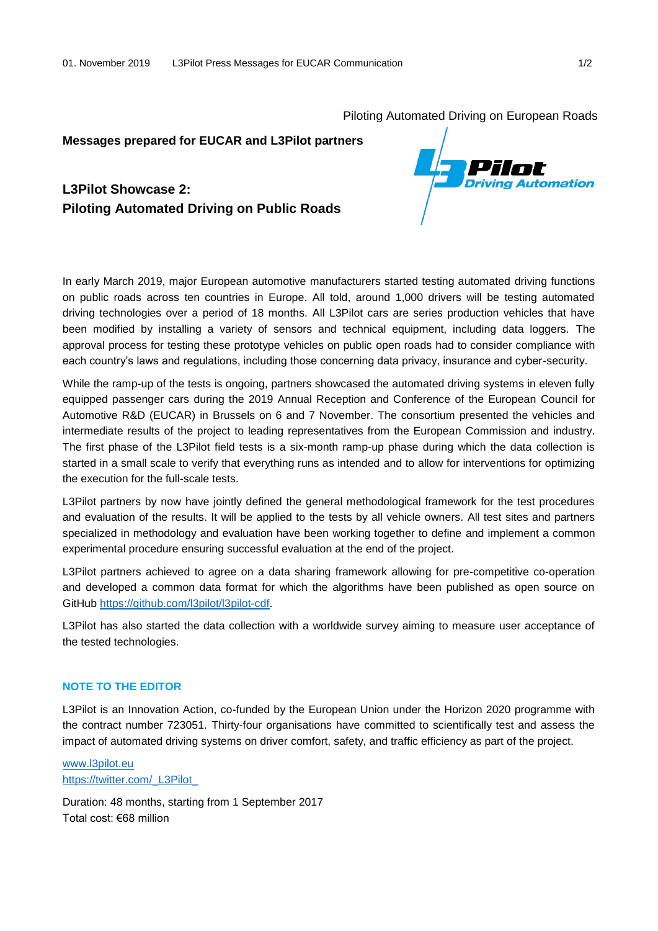Piloting Automated Driving on European Roads

## **Messages prepared for EUCAR and L3Pilot partners**

# **L3Pilot Showcase 2: Piloting Automated Driving on Public Roads**



In early March 2019, major European automotive manufacturers started testing automated driving functions on public roads across ten countries in Europe. All told, around 1,000 drivers will be testing automated driving technologies over a period of 18 months. All L3Pilot cars are series production vehicles that have been modified by installing a variety of sensors and technical equipment, including data loggers. The approval process for testing these prototype vehicles on public open roads had to consider compliance with each country's laws and regulations, including those concerning data privacy, insurance and cyber-security.

While the ramp-up of the tests is ongoing, partners showcased the automated driving systems in eleven fully equipped passenger cars during the 2019 Annual Reception and Conference of the European Council for Automotive R&D (EUCAR) in Brussels on 6 and 7 November. The consortium presented the vehicles and intermediate results of the project to leading representatives from the European Commission and industry. The first phase of the L3Pilot field tests is a six-month ramp-up phase during which the data collection is started in a small scale to verify that everything runs as intended and to allow for interventions for optimizing the execution for the full-scale tests.

L3Pilot partners by now have jointly defined the general methodological framework for the test procedures and evaluation of the results. It will be applied to the tests by all vehicle owners. All test sites and partners specialized in methodology and evaluation have been working together to define and implement a common experimental procedure ensuring successful evaluation at the end of the project.

L3Pilot partners achieved to agree on a data sharing framework allowing for pre-competitive co-operation and developed a common data format for which the algorithms have been published as open source on GitHub [https://github.com/l3pilot/l3pilot-cdf.](https://github.com/l3pilot/l3pilot-cdf)

L3Pilot has also started the data collection with a worldwide survey aiming to measure user acceptance of the tested technologies.

#### **NOTE TO THE EDITOR**

L3Pilot is an Innovation Action, co-funded by the European Union under the Horizon 2020 programme with the contract number 723051. Thirty-four organisations have committed to scientifically test and assess the impact of automated driving systems on driver comfort, safety, and traffic efficiency as part of the project.

### [www.l3pilot.eu](http://l3pilot.eu/) https://twitter.com/ L3Pilot

Duration: 48 months, starting from 1 September 2017 Total cost: €68 million